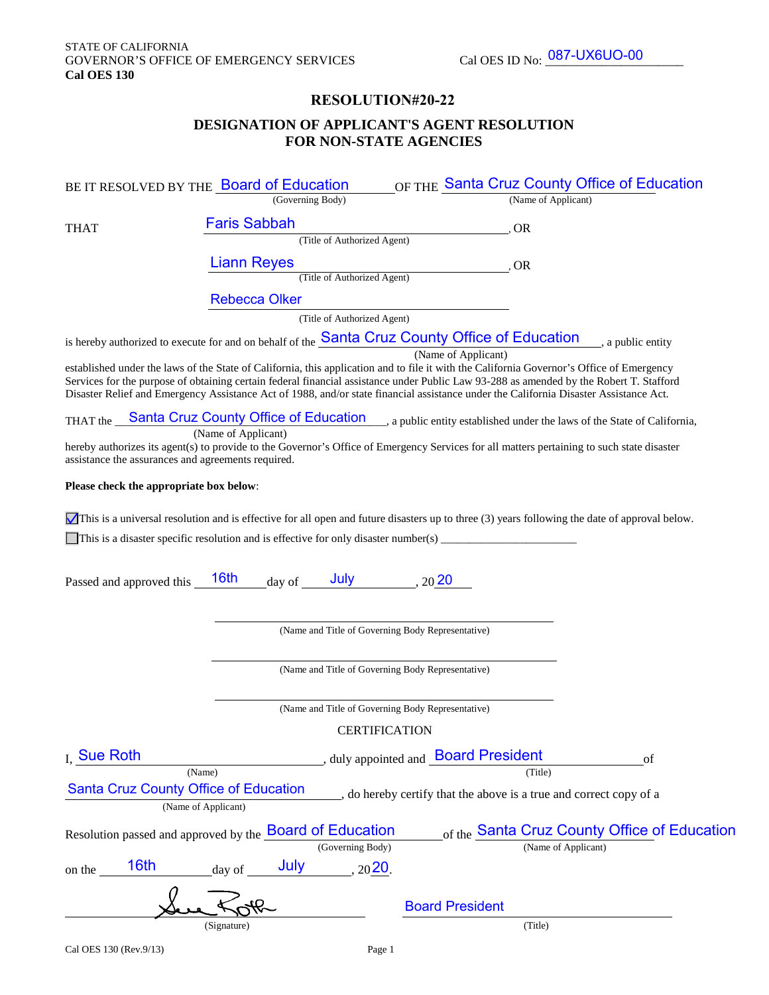## **RESOLUTION#20-22**

# **DESIGNATION OF APPLICANT'S AGENT RESOLUTION FOR NON-STATE AGENCIES**

|                                                    | BE IT RESOLVED BY THE Board of Education                                            | OF THE Santa Cruz County Office of Education                                                                                                                                                                                                                                                                                                                                                                                                         |
|----------------------------------------------------|-------------------------------------------------------------------------------------|------------------------------------------------------------------------------------------------------------------------------------------------------------------------------------------------------------------------------------------------------------------------------------------------------------------------------------------------------------------------------------------------------------------------------------------------------|
|                                                    | (Governing Body)                                                                    | (Name of Applicant)                                                                                                                                                                                                                                                                                                                                                                                                                                  |
| <b>THAT</b>                                        | <b>Faris Sabbah</b>                                                                 | , OR                                                                                                                                                                                                                                                                                                                                                                                                                                                 |
|                                                    | (Title of Authorized Agent)                                                         |                                                                                                                                                                                                                                                                                                                                                                                                                                                      |
|                                                    | <b>Liann Reyes</b>                                                                  | , OR                                                                                                                                                                                                                                                                                                                                                                                                                                                 |
|                                                    | (Title of Authorized Agent)                                                         |                                                                                                                                                                                                                                                                                                                                                                                                                                                      |
|                                                    | <b>Rebecca Olker</b>                                                                |                                                                                                                                                                                                                                                                                                                                                                                                                                                      |
|                                                    | (Title of Authorized Agent)                                                         |                                                                                                                                                                                                                                                                                                                                                                                                                                                      |
|                                                    |                                                                                     | is hereby authorized to execute for and on behalf of the <b>Santa Cruz County Office of Education</b> , a public entity                                                                                                                                                                                                                                                                                                                              |
|                                                    |                                                                                     | (Name of Applicant)<br>established under the laws of the State of California, this application and to file it with the California Governor's Office of Emergency<br>Services for the purpose of obtaining certain federal financial assistance under Public Law 93-288 as amended by the Robert T. Stafford<br>Disaster Relief and Emergency Assistance Act of 1988, and/or state financial assistance under the California Disaster Assistance Act. |
|                                                    |                                                                                     | THAT the <b>Santa Cruz County Office of Education</b> , a public entity established under the laws of the State of California,                                                                                                                                                                                                                                                                                                                       |
| assistance the assurances and agreements required. | (Name of Applicant)                                                                 | hereby authorizes its agent(s) to provide to the Governor's Office of Emergency Services for all matters pertaining to such state disaster                                                                                                                                                                                                                                                                                                           |
| Please check the appropriate box below:            |                                                                                     |                                                                                                                                                                                                                                                                                                                                                                                                                                                      |
|                                                    |                                                                                     | This is a universal resolution and is effective for all open and future disasters up to three $(3)$ years following the date of approval below.                                                                                                                                                                                                                                                                                                      |
|                                                    |                                                                                     |                                                                                                                                                                                                                                                                                                                                                                                                                                                      |
|                                                    |                                                                                     |                                                                                                                                                                                                                                                                                                                                                                                                                                                      |
| Passed and approved this                           | $\frac{16\text{th}}{\text{day of}}$ July $\frac{16\text{th}}{\text{day of}}$        |                                                                                                                                                                                                                                                                                                                                                                                                                                                      |
|                                                    |                                                                                     |                                                                                                                                                                                                                                                                                                                                                                                                                                                      |
|                                                    |                                                                                     |                                                                                                                                                                                                                                                                                                                                                                                                                                                      |
|                                                    | (Name and Title of Governing Body Representative)                                   |                                                                                                                                                                                                                                                                                                                                                                                                                                                      |
|                                                    |                                                                                     |                                                                                                                                                                                                                                                                                                                                                                                                                                                      |
|                                                    | (Name and Title of Governing Body Representative)                                   |                                                                                                                                                                                                                                                                                                                                                                                                                                                      |
|                                                    | (Name and Title of Governing Body Representative)                                   |                                                                                                                                                                                                                                                                                                                                                                                                                                                      |
|                                                    | <b>CERTIFICATION</b>                                                                |                                                                                                                                                                                                                                                                                                                                                                                                                                                      |
| I. Sue Roth                                        |                                                                                     | , duly appointed and <b>Board President</b><br>of                                                                                                                                                                                                                                                                                                                                                                                                    |
| (Name)                                             |                                                                                     | (Title)                                                                                                                                                                                                                                                                                                                                                                                                                                              |
| <b>Santa Cruz County Office of Education</b>       |                                                                                     | , do hereby certify that the above is a true and correct copy of a                                                                                                                                                                                                                                                                                                                                                                                   |
|                                                    | (Name of Applicant)                                                                 |                                                                                                                                                                                                                                                                                                                                                                                                                                                      |
|                                                    | Resolution passed and approved by the <b>Board of Education</b><br>(Governing Body) | of the Santa Cruz County Office of Education<br>(Name of Applicant)                                                                                                                                                                                                                                                                                                                                                                                  |
| 16th                                               | July<br>$, 20$ 20.                                                                  |                                                                                                                                                                                                                                                                                                                                                                                                                                                      |
| on the                                             | day of                                                                              |                                                                                                                                                                                                                                                                                                                                                                                                                                                      |
|                                                    |                                                                                     | <b>Board President</b>                                                                                                                                                                                                                                                                                                                                                                                                                               |
| (Signature)                                        |                                                                                     | (Title)                                                                                                                                                                                                                                                                                                                                                                                                                                              |